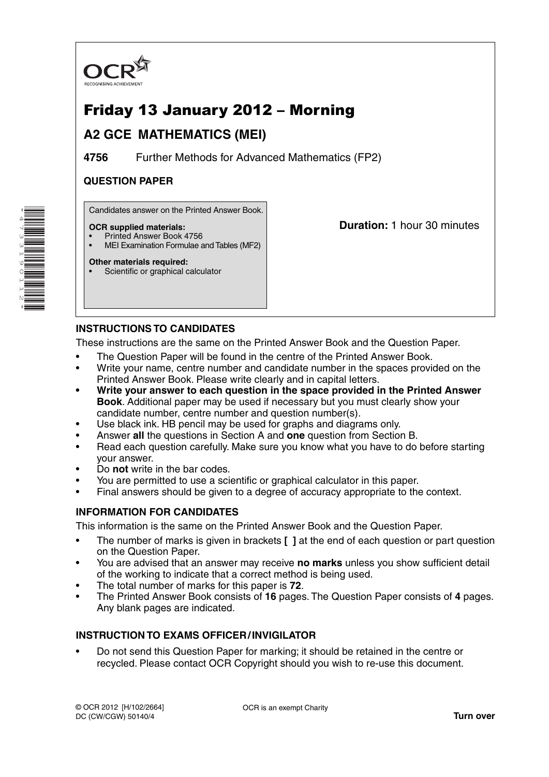

# Friday 13 January 2012 – Morning

# **A2 GCE MATHEMATICS (MEI)**

**4756** Further Methods for Advanced Mathematics (FP2)

# **QUESTION PAPER**

Candidates answer on the Printed Answer Book.

### **OCR supplied materials:**

- Printed Answer Book 4756
- MEI Examination Formulae and Tables (MF2)

**Other materials required:** Scientific or graphical calculator **Duration:** 1 hour 30 minutes

# **INSTRUCTIONS TO CANDIDATES**

These instructions are the same on the Printed Answer Book and the Question Paper.

- The Question Paper will be found in the centre of the Printed Answer Book.
- Write your name, centre number and candidate number in the spaces provided on the Printed Answer Book. Please write clearly and in capital letters.
- **Write your answer to each question in the space provided in the Printed Answer Book**. Additional paper may be used if necessary but you must clearly show your candidate number, centre number and question number(s).
- Use black ink. HB pencil may be used for graphs and diagrams only.
- Answer **all** the questions in Section A and **one** question from Section B.
- Read each question carefully. Make sure you know what you have to do before starting your answer.
- Do **not** write in the bar codes.
- You are permitted to use a scientific or graphical calculator in this paper.
- Final answers should be given to a degree of accuracy appropriate to the context.

## **INFORMATION FOR CANDIDATES**

This information is the same on the Printed Answer Book and the Question Paper.

- The number of marks is given in brackets **[ ]** at the end of each question or part question on the Question Paper.
- You are advised that an answer may receive **no marks** unless you show sufficient detail of the working to indicate that a correct method is being used.
- The total number of marks for this paper is **72**.
- The Printed Answer Book consists of **16** pages. The Question Paper consists of **4** pages. Any blank pages are indicated.

## **INSTRUCTION TO EXAMS OFFICER / INVIGILATOR**

• Do not send this Question Paper for marking; it should be retained in the centre or recycled. Please contact OCR Copyright should you wish to re-use this document.

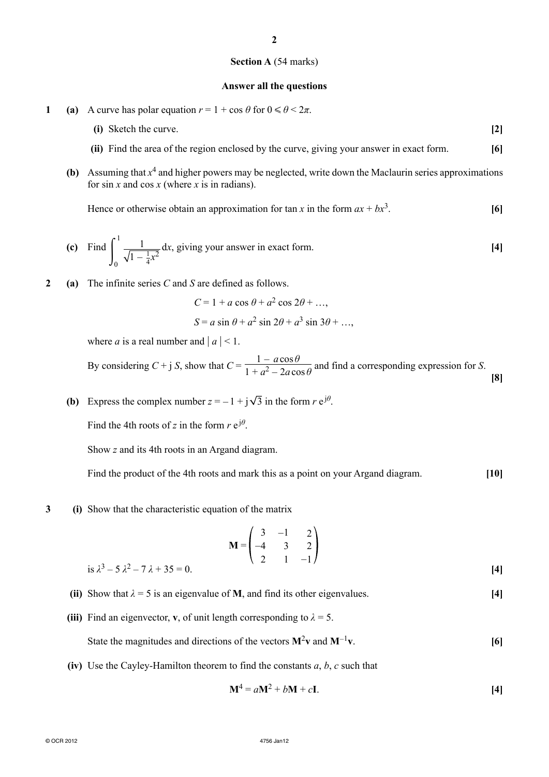#### **Section A** (54 marks)

#### **Answer all the questions**

- **1** (a) A curve has polar equation  $r = 1 + \cos \theta$  for  $0 \le \theta \le 2\pi$ .
	- **(i)** Sketch the curve. **[2]**
	- **(ii)** Find the area of the region enclosed by the curve, giving your answer in exact form. **[6]**
	- **(b)** Assuming that  $x^4$  and higher powers may be neglected, write down the Maclaurin series approximations for sin *x* and cos *x* (where *x* is in radians).

Hence or otherwise obtain an approximation for tan *x* in the form  $ax + bx^3$ . [6]

(c) Find 
$$
\int_0^1 \frac{1}{\sqrt{1 - \frac{1}{4}x^2}} dx
$$
, giving your answer in exact form. [4]

**2 (a)** The infinite series *C* and *S* are defined as follows.

$$
C = 1 + a\cos\theta + a^2\cos 2\theta + \dots,
$$
  

$$
S = a\sin\theta + a^2\sin 2\theta + a^3\sin 3\theta + \dots,
$$

where *a* is a real number and  $|a| < 1$ .

By considering 
$$
C + j S
$$
, show that  $C = \frac{1 - a \cos \theta}{1 + a^2 - 2a \cos \theta}$  and find a corresponding expression for S.

**(b)** Express the complex number  $z = -1 + i\sqrt{3}$  in the form  $r e^{j\theta}$ .

Find the 4th roots of *z* in the form  $r e^{j\theta}$ .

Show *z* and its 4th roots in an Argand diagram.

Find the product of the 4th roots and mark this as a point on your Argand diagram. **[10]**

**3 (i)** Show that the characteristic equation of the matrix

$$
\mathbf{M} = \begin{pmatrix} 3 & -1 & 2 \\ -4 & 3 & 2 \\ 2 & 1 & -1 \end{pmatrix}
$$
  
is  $\lambda^3 - 5 \lambda^2 - 7 \lambda + 35 = 0$ . [4]

- **(ii)** Show that  $\lambda = 5$  is an eigenvalue of **M**, and find its other eigenvalues.  $\begin{bmatrix} 4 \end{bmatrix}$
- **(iii)** Find an eigenvector, **v**, of unit length corresponding to  $\lambda = 5$ .
	- State the magnitudes and directions of the vectors  $M^2v$  and  $M^{-1}v$ . **[6]**
- **(iv)** Use the Cayley-Hamilton theorem to find the constants *a*, *b*, *c* such that

$$
\mathbf{M}^4 = a\mathbf{M}^2 + b\mathbf{M} + c\mathbf{I}.\tag{4}
$$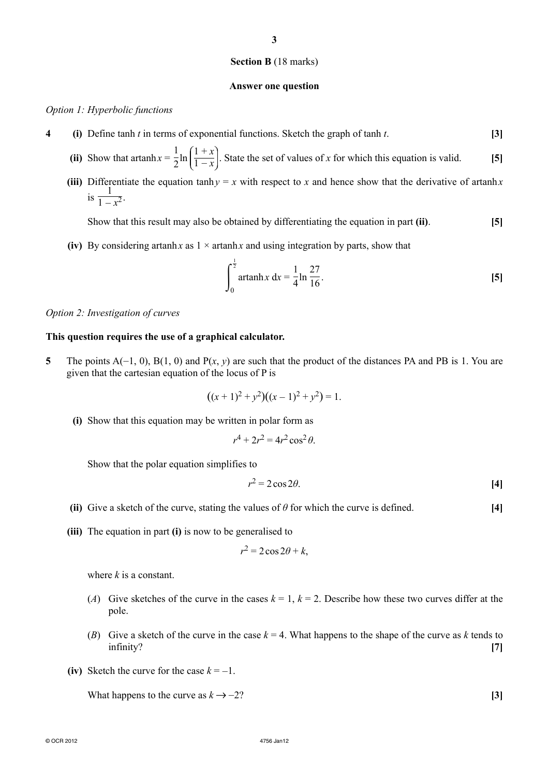#### **Section B** (18 marks)

**3**

#### **Answer one question**

#### *Option 1: Hyperbolic functions*

**4 (i)** Define tanh *t* in terms of exponential functions. Sketch the graph of tanh *t*. **[3]**

**(ii)** Show that artanh  $x =$ 1  $\frac{1}{2}$ ln  $\left(\frac{1+x}{1-x}\right)$ . State the set of values of *x* for which this equation is valid. **[5]** 

(iii) Differentiate the equation  $\tanh y = x$  with respect to *x* and hence show that the derivative of artanh *x*  $\int$  is  $\frac{1}{1-x^2}$ .

Show that this result may also be obtained by differentiating the equation in part **(ii)**. **[5]**

**(iv)** By considering artanh *x* as  $1 \times \text{artanh } x$  and using integration by parts, show that

$$
\int_0^{\frac{1}{2}} \operatorname{artanh} x \, dx = \frac{1}{4} \ln \frac{27}{16}.
$$
 [5]

#### *Option 2: Investigation of curves*

#### **This question requires the use of a graphical calculator.**

**5** The points A(−1, 0), B(1, 0) and P(*x*, *y*) are such that the product of the distances PA and PB is 1. You are given that the cartesian equation of the locus of P is

$$
((x + 1)^2 + y^2)((x - 1)^2 + y^2) = 1.
$$

 **(i)** Show that this equation may be written in polar form as

$$
r^4 + 2r^2 = 4r^2 \cos^2 \theta.
$$

Show that the polar equation simplifies to

$$
r^2 = 2\cos 2\theta.\tag{4}
$$

- **(ii)** Give a sketch of the curve, stating the values of  $\theta$  for which the curve is defined. [4]
- **(iii)** The equation in part **(i)** is now to be generalised to

$$
r^2 = 2\cos 2\theta + k,
$$

where *k* is a constant.

- (*A*) Give sketches of the curve in the cases  $k = 1$ ,  $k = 2$ . Describe how these two curves differ at the pole.
- (*B*) Give a sketch of the curve in the case  $k = 4$ . What happens to the shape of the curve as *k* tends to infinity? **[7]**
- **(iv)** Sketch the curve for the case  $k = -1$ .

What happens to the curve as  $k \rightarrow -2$ ? **[3]**